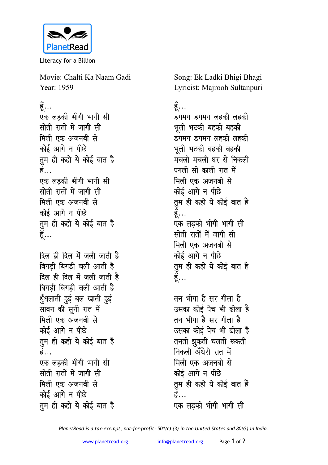

Literacy for a Billion

Movie: Chalti Ka Naam Gadi Year: 1959

हूँ...

एक लडकी भीगी भागी सी **सोती रातों में जागी सी** मिली एक अजनबी से कोई आगे न पीछे **तुम ही कहो ये कोई बात है** हं... एक लडकी भीगी भागी सी **सोती रातों में जागी सी** मिली एक अजनबी से कोई आगे न पीछे तुम ही कहो ये कोई बात ह<del>ै</del> हूँ…

<u>दिल ही दिल में जली जाती है</u> <u>बिगडी बिगडी चली आती है</u> <u>दिल ही दिल में जली जाती है</u> **बिगडी बिगडी चली आती है** <u>ध</u>्रँधलाती हुई बल खाती हुई **सावन की सूनी रात में** मिली एक अजनबी से <u>कोई आगे न पीछे</u> **तुम ही कहो ये कोई बात है** हं… एक लडकी भीगी भागी सी सोती रातों में जागी सी मिली एक अजनबी से कोई आगे न पीछे तुम ही कहो ये कोई बात ह<del>ै</del>

Song: Ek Ladki Bhigi Bhagi Lyricist: Majrooh Sultanpuri

## हें…

डगमग डगमग लहकी **ल**हकी भूली भटकी बहकी बहक<u>ी</u> डगमग **डगमग लहकी** लहकी भूली भटकी बहकी बहक<mark>ी</mark> मचली मचली घर से निकल<mark>ी</mark> पगली सी काली रात में मिली एक अजनबी से कोई आगे न पीछे <u>तू</u>म ही कहो ये कोई बात है हॅ... एक लडकी भीगी भागी सी **सोती रातों में जागी सी** मिली एक अजनबी से कोई आगे न पीछे तुम ही कहो ये कोई बात है <u>ड</u>ू...

तन भीगा है सर गीला **है** उसका कोई पेच भी ढीला है तन भीगा है सर गीला **है** उसका कोई पेच भी ढीला है तनती झुकती चलती रूकती निकली अँधेरी रात में मिली एक अजनबी से कोई आगे न पीछे <u>त</u>म ही कहो ये कोई बात हैं हं… एक लड़की भीगी भागी सी

*PlanetRead is a tax-exempt, not-for-profit: 501(c) (3) in the United States and 80(G) in India.*